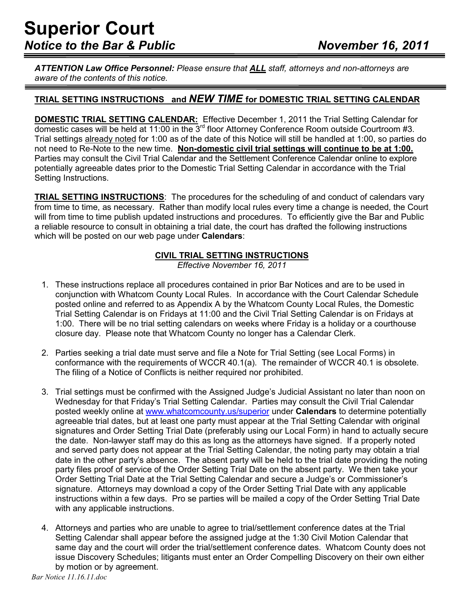*ATTENTION Law Office Personnel: Please ensure that ALL staff, attorneys and non-attorneys are aware of the contents of this notice.* 

## **TRIAL SETTING INSTRUCTIONS and** *NEW TIME* **for DOMESTIC TRIAL SETTING CALENDAR**

**DOMESTIC TRIAL SETTING CALENDAR:** Effective December 1, 2011 the Trial Setting Calendar for domestic cases will be held at 11:00 in the  $3^{rd}$  floor Attorney Conference Room outside Courtroom #3. Trial settings already noted for 1:00 as of the date of this Notice will still be handled at 1:00, so parties do not need to Re-Note to the new time. **Non-domestic civil trial settings will continue to be at 1:00.**  Parties may consult the Civil Trial Calendar and the Settlement Conference Calendar online to explore potentially agreeable dates prior to the Domestic Trial Setting Calendar in accordance with the Trial Setting Instructions.

**TRIAL SETTING INSTRUCTIONS:** The procedures for the scheduling of and conduct of calendars vary from time to time, as necessary. Rather than modify local rules every time a change is needed, the Court will from time to time publish updated instructions and procedures. To efficiently give the Bar and Public a reliable resource to consult in obtaining a trial date, the court has drafted the following instructions which will be posted on our web page under **Calendars**:

## **CIVIL TRIAL SETTING INSTRUCTIONS**

*Effective November 16, 2011* 

- 1. These instructions replace all procedures contained in prior Bar Notices and are to be used in conjunction with Whatcom County Local Rules. In accordance with the Court Calendar Schedule posted online and referred to as Appendix A by the Whatcom County Local Rules, the Domestic Trial Setting Calendar is on Fridays at 11:00 and the Civil Trial Setting Calendar is on Fridays at 1:00. There will be no trial setting calendars on weeks where Friday is a holiday or a courthouse closure day. Please note that Whatcom County no longer has a Calendar Clerk.
- 2. Parties seeking a trial date must serve and file a Note for Trial Setting (see Local Forms) in conformance with the requirements of WCCR 40.1(a). The remainder of WCCR 40.1 is obsolete. The filing of a Notice of Conflicts is neither required nor prohibited.
- 3. Trial settings must be confirmed with the Assigned Judge's Judicial Assistant no later than noon on Wednesday for that Friday's Trial Setting Calendar. Parties may consult the Civil Trial Calendar posted weekly online at www.whatcomcounty.us/superior under **Calendars** to determine potentially agreeable trial dates, but at least one party must appear at the Trial Setting Calendar with original signatures and Order Setting Trial Date (preferably using our Local Form) in hand to actually secure the date. Non-lawyer staff may do this as long as the attorneys have signed. If a properly noted and served party does not appear at the Trial Setting Calendar, the noting party may obtain a trial date in the other party's absence. The absent party will be held to the trial date providing the noting party files proof of service of the Order Setting Trial Date on the absent party. We then take your Order Setting Trial Date at the Trial Setting Calendar and secure a Judge's or Commissioner's signature. Attorneys may download a copy of the Order Setting Trial Date with any applicable instructions within a few days. Pro se parties will be mailed a copy of the Order Setting Trial Date with any applicable instructions.
- 4. Attorneys and parties who are unable to agree to trial/settlement conference dates at the Trial Setting Calendar shall appear before the assigned judge at the 1:30 Civil Motion Calendar that same day and the court will order the trial/settlement conference dates. Whatcom County does not issue Discovery Schedules; litigants must enter an Order Compelling Discovery on their own either by motion or by agreement.